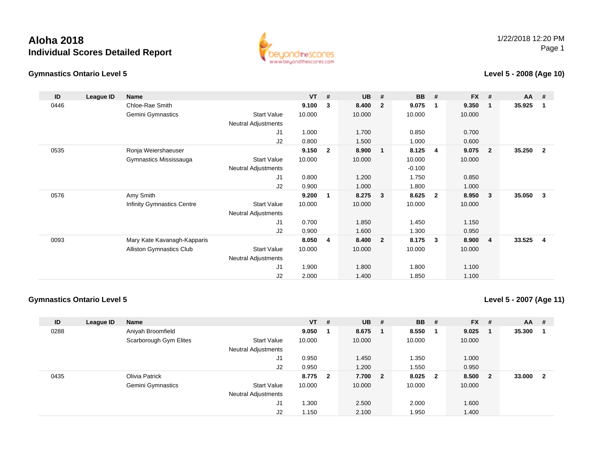



#### **Level 5 - 2008 (Age 10)**

| ID   | League ID | Name                              |                            | $VT$ # |                | <b>UB</b> | #              | <b>BB</b> | #              | <b>FX</b> | #              | AA     | #              |
|------|-----------|-----------------------------------|----------------------------|--------|----------------|-----------|----------------|-----------|----------------|-----------|----------------|--------|----------------|
| 0446 |           | Chloe-Rae Smith                   |                            | 9.100  | 3              | 8.400     | $\overline{2}$ | 9.075     | -1             | 9.350     | $\mathbf 1$    | 35.925 | -1             |
|      |           | Gemini Gymnastics                 | <b>Start Value</b>         | 10.000 |                | 10.000    |                | 10.000    |                | 10.000    |                |        |                |
|      |           |                                   | <b>Neutral Adjustments</b> |        |                |           |                |           |                |           |                |        |                |
|      |           |                                   | J1                         | 1.000  |                | 1.700     |                | 0.850     |                | 0.700     |                |        |                |
|      |           |                                   | J2                         | 0.800  |                | 1.500     |                | 1.000     |                | 0.600     |                |        |                |
| 0535 |           | Ronja Weiershaeuser               |                            | 9.150  | $\overline{2}$ | 8.900     | $\mathbf{1}$   | 8.125     | -4             | 9.075     | $\overline{2}$ | 35.250 | $\overline{2}$ |
|      |           | Gymnastics Mississauga            | <b>Start Value</b>         | 10.000 |                | 10.000    |                | 10.000    |                | 10.000    |                |        |                |
|      |           |                                   | Neutral Adjustments        |        |                |           |                | $-0.100$  |                |           |                |        |                |
|      |           |                                   | J <sub>1</sub>             | 0.800  |                | 1.200     |                | 1.750     |                | 0.850     |                |        |                |
|      |           |                                   | J2                         | 0.900  |                | 1.000     |                | 1.800     |                | 1.000     |                |        |                |
| 0576 |           | Amy Smith                         |                            | 9.200  | 1              | 8.275     | 3              | 8.625     | $\overline{2}$ | 8.950     | 3              | 35.050 | 3              |
|      |           | <b>Infinity Gymnastics Centre</b> | <b>Start Value</b>         | 10.000 |                | 10.000    |                | 10.000    |                | 10.000    |                |        |                |
|      |           |                                   | <b>Neutral Adjustments</b> |        |                |           |                |           |                |           |                |        |                |
|      |           |                                   | J1                         | 0.700  |                | 1.850     |                | 1.450     |                | 1.150     |                |        |                |
|      |           |                                   | J2                         | 0.900  |                | 1.600     |                | 1.300     |                | 0.950     |                |        |                |
| 0093 |           | Mary Kate Kavanagh-Kapparis       |                            | 8.050  | 4              | 8.400     | $\overline{2}$ | 8.175     | $\mathbf{3}$   | 8.900     | $\overline{4}$ | 33.525 | 4              |
|      |           | <b>Alliston Gymnastics Club</b>   | <b>Start Value</b>         | 10.000 |                | 10.000    |                | 10.000    |                | 10.000    |                |        |                |
|      |           |                                   | Neutral Adjustments        |        |                |           |                |           |                |           |                |        |                |
|      |           |                                   | J1                         | 1.900  |                | 1.800     |                | 1.800     |                | 1.100     |                |        |                |
|      |           |                                   | J <sub>2</sub>             | 2.000  |                | 1.400     |                | 1.850     |                | 1.100     |                |        |                |

#### **Gymnastics Ontario Level 5**

**Level 5 - 2007 (Age 11)**

| ID   | League ID | <b>Name</b>            |                            | $VT$ # |                         | <b>UB</b> | # | <b>BB</b> | - #                     | <b>FX</b> | #                       | <b>AA</b> | #              |
|------|-----------|------------------------|----------------------------|--------|-------------------------|-----------|---|-----------|-------------------------|-----------|-------------------------|-----------|----------------|
| 0288 |           | Aniyah Broomfield      |                            | 9.050  |                         | 8.675     |   | 8.550     |                         | 9.025     |                         | 35.300    |                |
|      |           | Scarborough Gym Elites | <b>Start Value</b>         | 10.000 |                         | 10.000    |   | 10.000    |                         | 10.000    |                         |           |                |
|      |           |                        | <b>Neutral Adjustments</b> |        |                         |           |   |           |                         |           |                         |           |                |
|      |           |                        | J1                         | 0.950  |                         | 1.450     |   | 1.350     |                         | 1.000     |                         |           |                |
|      |           |                        | J2                         | 0.950  |                         | 1.200     |   | 1.550     |                         | 0.950     |                         |           |                |
| 0435 |           | Olivia Patrick         |                            | 8.775  | $\overline{\mathbf{2}}$ | 7.700 2   |   | 8.025     | $\overline{\mathbf{2}}$ | 8.500     | $\overline{\mathbf{2}}$ | 33.000    | $\overline{2}$ |
|      |           | Gemini Gymnastics      | Start Value                | 10.000 |                         | 10.000    |   | 10.000    |                         | 10.000    |                         |           |                |
|      |           |                        | <b>Neutral Adjustments</b> |        |                         |           |   |           |                         |           |                         |           |                |
|      |           |                        | J1                         | .300   |                         | 2.500     |   | 2.000     |                         | 1.600     |                         |           |                |
|      |           |                        | J2                         | 1.150  |                         | 2.100     |   | 1.950     |                         | 1.400     |                         |           |                |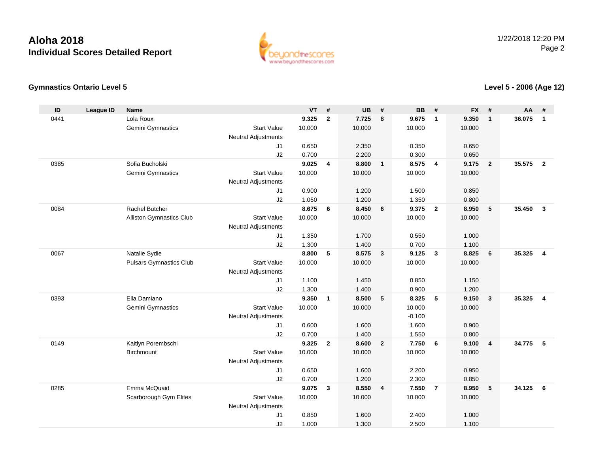

### **Gymnastics Ontario Level 5**

### **Level 5 - 2006 (Age 12)**

| Lola Roux<br>9.325<br>$\mathbf{2}$<br>7.725<br>9.350<br>36.075<br>0441<br>8<br>9.675<br>$\mathbf{1}$<br>$\mathbf{1}$<br>$\mathbf{1}$<br>Gemini Gymnastics<br><b>Start Value</b><br>10.000<br>10.000<br>10.000<br>10.000<br><b>Neutral Adjustments</b><br>J <sub>1</sub><br>0.650<br>2.350<br>0.350<br>0.650<br>J2<br>0.700<br>2.200<br>0.300<br>0.650<br>Sofia Bucholski<br>0385<br>9.025<br>8.800<br>$\overline{\phantom{0}}$<br>8.575<br>$\overline{4}$<br>9.175<br>35.575<br>$\overline{2}$<br>$\overline{4}$<br>$\overline{2}$<br>Gemini Gymnastics<br><b>Start Value</b><br>10.000<br>10.000<br>10.000<br>10.000<br>Neutral Adjustments<br>J <sub>1</sub><br>0.900<br>1.200<br>1.500<br>0.850<br>J2<br>1.050<br>1.200<br>1.350<br>0.800<br>Rachel Butcher<br>8.675<br>8.450<br>9.375<br>${\bf 5}$<br>35.450<br>0084<br>6<br>$6\phantom{1}6$<br>$\overline{2}$<br>8.950<br>$\mathbf{3}$<br><b>Start Value</b><br>10.000<br>10.000<br>10.000<br>Alliston Gymnastics Club<br>10.000<br><b>Neutral Adjustments</b><br>1.350<br>1.700<br>0.550<br>1.000 | ID | <b>League ID</b> | <b>Name</b> |    | <b>VT</b> | # | <b>UB</b> | # | <b>BB</b> | # | <b>FX</b> | # | <b>AA</b> | # |
|---------------------------------------------------------------------------------------------------------------------------------------------------------------------------------------------------------------------------------------------------------------------------------------------------------------------------------------------------------------------------------------------------------------------------------------------------------------------------------------------------------------------------------------------------------------------------------------------------------------------------------------------------------------------------------------------------------------------------------------------------------------------------------------------------------------------------------------------------------------------------------------------------------------------------------------------------------------------------------------------------------------------------------------------------------|----|------------------|-------------|----|-----------|---|-----------|---|-----------|---|-----------|---|-----------|---|
|                                                                                                                                                                                                                                                                                                                                                                                                                                                                                                                                                                                                                                                                                                                                                                                                                                                                                                                                                                                                                                                         |    |                  |             |    |           |   |           |   |           |   |           |   |           |   |
|                                                                                                                                                                                                                                                                                                                                                                                                                                                                                                                                                                                                                                                                                                                                                                                                                                                                                                                                                                                                                                                         |    |                  |             |    |           |   |           |   |           |   |           |   |           |   |
|                                                                                                                                                                                                                                                                                                                                                                                                                                                                                                                                                                                                                                                                                                                                                                                                                                                                                                                                                                                                                                                         |    |                  |             |    |           |   |           |   |           |   |           |   |           |   |
|                                                                                                                                                                                                                                                                                                                                                                                                                                                                                                                                                                                                                                                                                                                                                                                                                                                                                                                                                                                                                                                         |    |                  |             |    |           |   |           |   |           |   |           |   |           |   |
|                                                                                                                                                                                                                                                                                                                                                                                                                                                                                                                                                                                                                                                                                                                                                                                                                                                                                                                                                                                                                                                         |    |                  |             |    |           |   |           |   |           |   |           |   |           |   |
|                                                                                                                                                                                                                                                                                                                                                                                                                                                                                                                                                                                                                                                                                                                                                                                                                                                                                                                                                                                                                                                         |    |                  |             |    |           |   |           |   |           |   |           |   |           |   |
|                                                                                                                                                                                                                                                                                                                                                                                                                                                                                                                                                                                                                                                                                                                                                                                                                                                                                                                                                                                                                                                         |    |                  |             |    |           |   |           |   |           |   |           |   |           |   |
|                                                                                                                                                                                                                                                                                                                                                                                                                                                                                                                                                                                                                                                                                                                                                                                                                                                                                                                                                                                                                                                         |    |                  |             |    |           |   |           |   |           |   |           |   |           |   |
|                                                                                                                                                                                                                                                                                                                                                                                                                                                                                                                                                                                                                                                                                                                                                                                                                                                                                                                                                                                                                                                         |    |                  |             |    |           |   |           |   |           |   |           |   |           |   |
|                                                                                                                                                                                                                                                                                                                                                                                                                                                                                                                                                                                                                                                                                                                                                                                                                                                                                                                                                                                                                                                         |    |                  |             |    |           |   |           |   |           |   |           |   |           |   |
|                                                                                                                                                                                                                                                                                                                                                                                                                                                                                                                                                                                                                                                                                                                                                                                                                                                                                                                                                                                                                                                         |    |                  |             |    |           |   |           |   |           |   |           |   |           |   |
|                                                                                                                                                                                                                                                                                                                                                                                                                                                                                                                                                                                                                                                                                                                                                                                                                                                                                                                                                                                                                                                         |    |                  |             |    |           |   |           |   |           |   |           |   |           |   |
|                                                                                                                                                                                                                                                                                                                                                                                                                                                                                                                                                                                                                                                                                                                                                                                                                                                                                                                                                                                                                                                         |    |                  |             |    |           |   |           |   |           |   |           |   |           |   |
|                                                                                                                                                                                                                                                                                                                                                                                                                                                                                                                                                                                                                                                                                                                                                                                                                                                                                                                                                                                                                                                         |    |                  |             | J1 |           |   |           |   |           |   |           |   |           |   |
| J2<br>1.300<br>1.400<br>0.700<br>1.100                                                                                                                                                                                                                                                                                                                                                                                                                                                                                                                                                                                                                                                                                                                                                                                                                                                                                                                                                                                                                  |    |                  |             |    |           |   |           |   |           |   |           |   |           |   |
| 8.800<br>5<br>8.575<br>$\overline{\mathbf{3}}$<br>9.125<br>$\overline{\mathbf{3}}$<br>8.825<br>6<br>35.325<br>$\overline{4}$<br>0067<br>Natalie Sydie                                                                                                                                                                                                                                                                                                                                                                                                                                                                                                                                                                                                                                                                                                                                                                                                                                                                                                   |    |                  |             |    |           |   |           |   |           |   |           |   |           |   |
| <b>Pulsars Gymnastics Club</b><br><b>Start Value</b><br>10.000<br>10.000<br>10.000<br>10.000                                                                                                                                                                                                                                                                                                                                                                                                                                                                                                                                                                                                                                                                                                                                                                                                                                                                                                                                                            |    |                  |             |    |           |   |           |   |           |   |           |   |           |   |
| <b>Neutral Adjustments</b>                                                                                                                                                                                                                                                                                                                                                                                                                                                                                                                                                                                                                                                                                                                                                                                                                                                                                                                                                                                                                              |    |                  |             |    |           |   |           |   |           |   |           |   |           |   |
| 1.100<br>J <sub>1</sub><br>1.450<br>0.850<br>1.150                                                                                                                                                                                                                                                                                                                                                                                                                                                                                                                                                                                                                                                                                                                                                                                                                                                                                                                                                                                                      |    |                  |             |    |           |   |           |   |           |   |           |   |           |   |
| J2<br>1.300<br>1.400<br>0.900<br>1.200<br>Ella Damiano<br>9.350<br>5                                                                                                                                                                                                                                                                                                                                                                                                                                                                                                                                                                                                                                                                                                                                                                                                                                                                                                                                                                                    |    |                  |             |    |           |   |           |   |           |   |           |   |           |   |
| 8.500<br>5<br>35.325<br>0393<br>$\mathbf{1}$<br>8.325<br>9.150<br>$\mathbf{3}$<br>$\overline{4}$                                                                                                                                                                                                                                                                                                                                                                                                                                                                                                                                                                                                                                                                                                                                                                                                                                                                                                                                                        |    |                  |             |    |           |   |           |   |           |   |           |   |           |   |
| Gemini Gymnastics<br><b>Start Value</b><br>10.000<br>10.000<br>10.000<br>10.000<br>$-0.100$                                                                                                                                                                                                                                                                                                                                                                                                                                                                                                                                                                                                                                                                                                                                                                                                                                                                                                                                                             |    |                  |             |    |           |   |           |   |           |   |           |   |           |   |
| <b>Neutral Adjustments</b><br>0.600<br>1.600<br>1.600<br>0.900<br>J1                                                                                                                                                                                                                                                                                                                                                                                                                                                                                                                                                                                                                                                                                                                                                                                                                                                                                                                                                                                    |    |                  |             |    |           |   |           |   |           |   |           |   |           |   |
| J2<br>0.700<br>1.550<br>1.400<br>0.800                                                                                                                                                                                                                                                                                                                                                                                                                                                                                                                                                                                                                                                                                                                                                                                                                                                                                                                                                                                                                  |    |                  |             |    |           |   |           |   |           |   |           |   |           |   |
| 0149<br>Kaitlyn Porembschi<br>9.325<br>$\overline{2}$<br>8.600<br>$\overline{2}$<br>7.750<br>6<br>34.775<br>5<br>9.100<br>$\overline{\mathbf{4}}$                                                                                                                                                                                                                                                                                                                                                                                                                                                                                                                                                                                                                                                                                                                                                                                                                                                                                                       |    |                  |             |    |           |   |           |   |           |   |           |   |           |   |
| <b>Start Value</b><br>10.000<br>10.000<br>Birchmount<br>10.000<br>10.000                                                                                                                                                                                                                                                                                                                                                                                                                                                                                                                                                                                                                                                                                                                                                                                                                                                                                                                                                                                |    |                  |             |    |           |   |           |   |           |   |           |   |           |   |
| Neutral Adjustments                                                                                                                                                                                                                                                                                                                                                                                                                                                                                                                                                                                                                                                                                                                                                                                                                                                                                                                                                                                                                                     |    |                  |             |    |           |   |           |   |           |   |           |   |           |   |
| 0.650<br>1.600<br>2.200<br>0.950<br>J1                                                                                                                                                                                                                                                                                                                                                                                                                                                                                                                                                                                                                                                                                                                                                                                                                                                                                                                                                                                                                  |    |                  |             |    |           |   |           |   |           |   |           |   |           |   |
| 0.700<br>1.200<br>J2<br>2.300<br>0.850                                                                                                                                                                                                                                                                                                                                                                                                                                                                                                                                                                                                                                                                                                                                                                                                                                                                                                                                                                                                                  |    |                  |             |    |           |   |           |   |           |   |           |   |           |   |
| Emma McQuaid<br>34.125<br>0285<br>9.075<br>3<br>8.550<br>7.550<br>$\overline{7}$<br>8.950<br>5<br>6<br>$\overline{\mathbf{4}}$                                                                                                                                                                                                                                                                                                                                                                                                                                                                                                                                                                                                                                                                                                                                                                                                                                                                                                                          |    |                  |             |    |           |   |           |   |           |   |           |   |           |   |
| <b>Start Value</b><br>10.000<br>10.000<br>10.000<br>Scarborough Gym Elites<br>10.000                                                                                                                                                                                                                                                                                                                                                                                                                                                                                                                                                                                                                                                                                                                                                                                                                                                                                                                                                                    |    |                  |             |    |           |   |           |   |           |   |           |   |           |   |
| <b>Neutral Adjustments</b>                                                                                                                                                                                                                                                                                                                                                                                                                                                                                                                                                                                                                                                                                                                                                                                                                                                                                                                                                                                                                              |    |                  |             |    |           |   |           |   |           |   |           |   |           |   |
| J1<br>0.850<br>1.600<br>2.400<br>1.000                                                                                                                                                                                                                                                                                                                                                                                                                                                                                                                                                                                                                                                                                                                                                                                                                                                                                                                                                                                                                  |    |                  |             |    |           |   |           |   |           |   |           |   |           |   |
| J2<br>1.000<br>1.300<br>2.500<br>1.100                                                                                                                                                                                                                                                                                                                                                                                                                                                                                                                                                                                                                                                                                                                                                                                                                                                                                                                                                                                                                  |    |                  |             |    |           |   |           |   |           |   |           |   |           |   |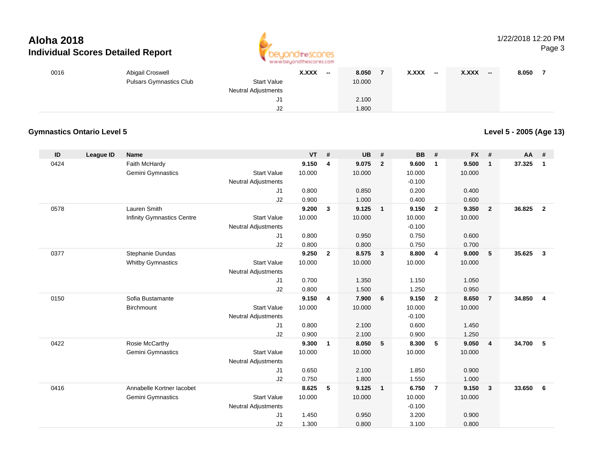

| 0016 | Abigail Croswell               |                            | <b>X.XXX</b> | $-$ | 8.050  | <b>X.XXX</b> | $\overline{\phantom{a}}$ | <b>X.XXX</b> | $\sim$ | 8.050 |  |
|------|--------------------------------|----------------------------|--------------|-----|--------|--------------|--------------------------|--------------|--------|-------|--|
|      | <b>Pulsars Gymnastics Club</b> | Start Value                |              |     | 10.000 |              |                          |              |        |       |  |
|      |                                | <b>Neutral Adjustments</b> |              |     |        |              |                          |              |        |       |  |
|      |                                | J1                         |              |     | 2.100  |              |                          |              |        |       |  |
|      |                                | J <sub>2</sub>             |              |     | .800   |              |                          |              |        |       |  |

### **Gymnastics Ontario Level 5**

**Level 5 - 2005 (Age 13)**

| ID   | League ID | <b>Name</b>                       |                            | VT     | #              | <b>UB</b> | #              | <b>BB</b> | #               | <b>FX</b> | #              | AA #   |                |
|------|-----------|-----------------------------------|----------------------------|--------|----------------|-----------|----------------|-----------|-----------------|-----------|----------------|--------|----------------|
| 0424 |           | Faith McHardy                     |                            | 9.150  | 4              | 9.075     | $\overline{2}$ | 9.600     | $\mathbf{1}$    | 9.500     | $\mathbf{1}$   | 37.325 | $\mathbf{1}$   |
|      |           | Gemini Gymnastics                 | <b>Start Value</b>         | 10.000 |                | 10.000    |                | 10.000    |                 | 10.000    |                |        |                |
|      |           |                                   | <b>Neutral Adjustments</b> |        |                |           |                | $-0.100$  |                 |           |                |        |                |
|      |           |                                   | J1                         | 0.800  |                | 0.850     |                | 0.200     |                 | 0.400     |                |        |                |
|      |           |                                   | J2                         | 0.900  |                | 1.000     |                | 0.400     |                 | 0.600     |                |        |                |
| 0578 |           | <b>Lauren Smith</b>               |                            | 9.200  | 3              | 9.125     | $\mathbf{1}$   | 9.150     | $\overline{2}$  | 9.350     | $\overline{2}$ | 36.825 | $\overline{2}$ |
|      |           | <b>Infinity Gymnastics Centre</b> | <b>Start Value</b>         | 10.000 |                | 10.000    |                | 10.000    |                 | 10.000    |                |        |                |
|      |           |                                   | <b>Neutral Adjustments</b> |        |                |           |                | $-0.100$  |                 |           |                |        |                |
|      |           |                                   | J1                         | 0.800  |                | 0.950     |                | 0.750     |                 | 0.600     |                |        |                |
|      |           |                                   | J2                         | 0.800  |                | 0.800     |                | 0.750     |                 | 0.700     |                |        |                |
| 0377 |           | Stephanie Dundas                  |                            | 9.250  | $\overline{2}$ | 8.575     | $\mathbf{3}$   | 8.800     | $\overline{4}$  | 9.000     | 5              | 35.625 | $\mathbf{3}$   |
|      |           | <b>Whitby Gymnastics</b>          | <b>Start Value</b>         | 10.000 |                | 10.000    |                | 10.000    |                 | 10.000    |                |        |                |
|      |           |                                   | <b>Neutral Adjustments</b> |        |                |           |                |           |                 |           |                |        |                |
|      |           |                                   | J1                         | 0.700  |                | 1.350     |                | 1.150     |                 | 1.050     |                |        |                |
|      |           |                                   | J2                         | 0.800  |                | 1.500     |                | 1.250     |                 | 0.950     |                |        |                |
| 0150 |           | Sofia Bustamante                  |                            | 9.150  | 4              | 7.900     | 6              | 9.150     | $\overline{2}$  | 8.650     | $\overline{7}$ | 34.850 | $\overline{4}$ |
|      |           | Birchmount                        | <b>Start Value</b>         | 10.000 |                | 10.000    |                | 10.000    |                 | 10.000    |                |        |                |
|      |           |                                   | <b>Neutral Adjustments</b> |        |                |           |                | $-0.100$  |                 |           |                |        |                |
|      |           |                                   | J1                         | 0.800  |                | 2.100     |                | 0.600     |                 | 1.450     |                |        |                |
|      |           |                                   | J2                         | 0.900  |                | 2.100     |                | 0.900     |                 | 1.250     |                |        |                |
| 0422 |           | Rosie McCarthy                    |                            | 9.300  | 1              | 8.050     | 5              | 8.300     | $5\phantom{.0}$ | 9.050     | $\overline{4}$ | 34.700 | 5              |
|      |           | Gemini Gymnastics                 | <b>Start Value</b>         | 10.000 |                | 10.000    |                | 10.000    |                 | 10.000    |                |        |                |
|      |           |                                   | <b>Neutral Adjustments</b> |        |                |           |                |           |                 |           |                |        |                |
|      |           |                                   | J1                         | 0.650  |                | 2.100     |                | 1.850     |                 | 0.900     |                |        |                |
|      |           |                                   | J2                         | 0.750  |                | 1.800     |                | 1.550     |                 | 1.000     |                |        |                |
| 0416 |           | Annabelle Kortner lacobet         |                            | 8.625  | 5              | 9.125     | $\mathbf{1}$   | 6.750     | $\overline{7}$  | 9.150     | $\mathbf{3}$   | 33.650 | 6              |
|      |           | Gemini Gymnastics                 | <b>Start Value</b>         | 10.000 |                | 10.000    |                | 10.000    |                 | 10.000    |                |        |                |
|      |           |                                   | <b>Neutral Adjustments</b> |        |                |           |                | $-0.100$  |                 |           |                |        |                |
|      |           |                                   | J1                         | 1.450  |                | 0.950     |                | 3.200     |                 | 0.900     |                |        |                |
|      |           |                                   | J2                         | 1.300  |                | 0.800     |                | 3.100     |                 | 0.800     |                |        |                |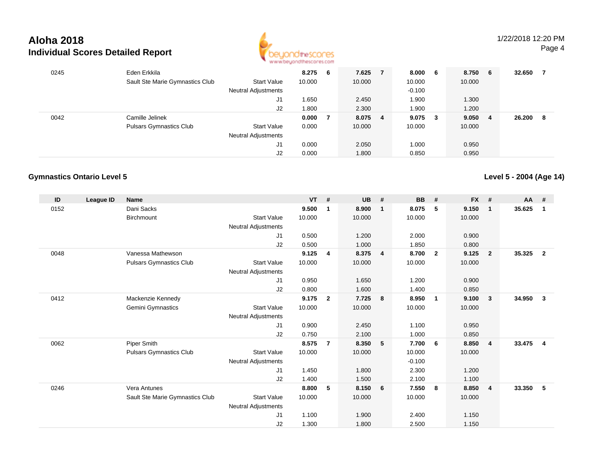

| 0245 | Eden Erkkila                    |                            | 8.275  | - 6 | 7.625   | 7 | 8.000 6  |     | 8.750  | 6 <sup>°</sup> | 32.650 | -7  |
|------|---------------------------------|----------------------------|--------|-----|---------|---|----------|-----|--------|----------------|--------|-----|
|      | Sault Ste Marie Gymnastics Club | <b>Start Value</b>         | 10.000 |     | 10.000  |   | 10.000   |     | 10.000 |                |        |     |
|      |                                 | <b>Neutral Adjustments</b> |        |     |         |   | $-0.100$ |     |        |                |        |     |
|      |                                 | J1                         | .650   |     | 2.450   |   | 1.900    |     | 1.300  |                |        |     |
|      |                                 | J2                         | .800   |     | 2.300   |   | 1.900    |     | 1.200  |                |        |     |
| 0042 | Camille Jelinek                 |                            | 0.000  |     | 8.075 4 |   | 9.075    | - 3 | 9.050  | -4             | 26.200 | - 8 |
|      | <b>Pulsars Gymnastics Club</b>  | <b>Start Value</b>         | 0.000  |     | 10.000  |   | 10.000   |     | 10.000 |                |        |     |
|      |                                 | <b>Neutral Adjustments</b> |        |     |         |   |          |     |        |                |        |     |
|      |                                 | J1                         | 0.000  |     | 2.050   |   | 1.000    |     | 0.950  |                |        |     |
|      |                                 | J2                         | 0.000  |     | 1.800   |   | 0.850    |     | 0.950  |                |        |     |

### **Gymnastics Ontario Level 5**

**Level 5 - 2004 (Age 14)**

| ID   | League ID | <b>Name</b>                     |                            | $VT$ # |              | <b>UB</b> | #              | <b>BB</b> | #              | <b>FX</b> | #                       | <b>AA</b> | #              |
|------|-----------|---------------------------------|----------------------------|--------|--------------|-----------|----------------|-----------|----------------|-----------|-------------------------|-----------|----------------|
| 0152 |           | Dani Sacks                      |                            | 9.500  | 1            | 8.900     | $\mathbf{1}$   | 8.075     | 5              | 9.150     | $\overline{\mathbf{1}}$ | 35.625    | $\mathbf 1$    |
|      |           | <b>Birchmount</b>               | <b>Start Value</b>         | 10.000 |              | 10.000    |                | 10.000    |                | 10.000    |                         |           |                |
|      |           |                                 | Neutral Adjustments        |        |              |           |                |           |                |           |                         |           |                |
|      |           |                                 | J <sub>1</sub>             | 0.500  |              | 1.200     |                | 2.000     |                | 0.900     |                         |           |                |
|      |           |                                 | J2                         | 0.500  |              | 1.000     |                | 1.850     |                | 0.800     |                         |           |                |
| 0048 |           | Vanessa Mathewson               |                            | 9.125  | 4            | 8.375     | $\overline{4}$ | 8.700     | $\overline{2}$ | 9.125     | $\overline{2}$          | 35.325    | $\overline{2}$ |
|      |           | <b>Pulsars Gymnastics Club</b>  | <b>Start Value</b>         | 10.000 |              | 10.000    |                | 10.000    |                | 10.000    |                         |           |                |
|      |           |                                 | <b>Neutral Adjustments</b> |        |              |           |                |           |                |           |                         |           |                |
|      |           |                                 | J1                         | 0.950  |              | 1.650     |                | 1.200     |                | 0.900     |                         |           |                |
|      |           |                                 | J2                         | 0.800  |              | 1.600     |                | 1.400     |                | 0.850     |                         |           |                |
| 0412 |           | Mackenzie Kennedy               |                            | 9.175  | $\mathbf{2}$ | 7.725     | 8              | 8.950     | $\overline{1}$ | 9.100     | $\mathbf{3}$            | 34.950    | 3              |
|      |           | Gemini Gymnastics               | <b>Start Value</b>         | 10.000 |              | 10.000    |                | 10.000    |                | 10.000    |                         |           |                |
|      |           |                                 | Neutral Adjustments        |        |              |           |                |           |                |           |                         |           |                |
|      |           |                                 | J1                         | 0.900  |              | 2.450     |                | 1.100     |                | 0.950     |                         |           |                |
|      |           |                                 | J2                         | 0.750  |              | 2.100     |                | 1.000     |                | 0.850     |                         |           |                |
| 0062 |           | Piper Smith                     |                            | 8.575  | 7            | 8.350     | 5              | 7.700     | - 6            | 8.850     | $\overline{4}$          | 33.475    | 4              |
|      |           | <b>Pulsars Gymnastics Club</b>  | <b>Start Value</b>         | 10.000 |              | 10.000    |                | 10.000    |                | 10.000    |                         |           |                |
|      |           |                                 | <b>Neutral Adjustments</b> |        |              |           |                | $-0.100$  |                |           |                         |           |                |
|      |           |                                 | J1                         | 1.450  |              | 1.800     |                | 2.300     |                | 1.200     |                         |           |                |
|      |           |                                 | J2                         | 1.400  |              | 1.500     |                | 2.100     |                | 1.100     |                         |           |                |
| 0246 |           | Vera Antunes                    |                            | 8.800  | 5            | 8.150     | 6              | 7.550     | 8              | 8.850     | $\overline{4}$          | 33.350    | -5             |
|      |           | Sault Ste Marie Gymnastics Club | <b>Start Value</b>         | 10.000 |              | 10.000    |                | 10.000    |                | 10.000    |                         |           |                |
|      |           |                                 | <b>Neutral Adjustments</b> |        |              |           |                |           |                |           |                         |           |                |
|      |           |                                 | J1                         | 1.100  |              | 1.900     |                | 2.400     |                | 1.150     |                         |           |                |
|      |           |                                 | J2                         | 1.300  |              | 1.800     |                | 2.500     |                | 1.150     |                         |           |                |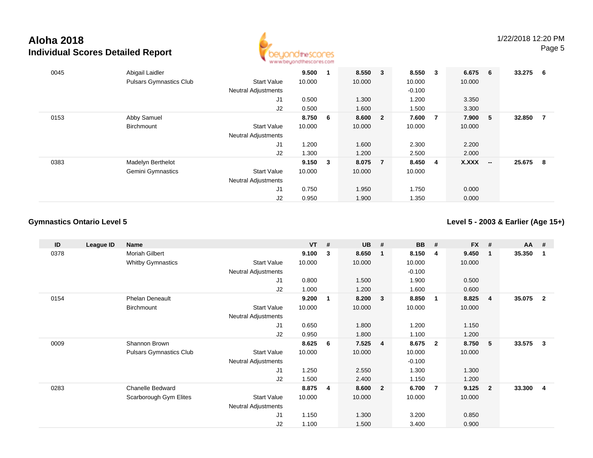

| 0045 | Abigail Laidler                |                            | 9.500  |     | 8.550 3 |                         | 8.550    | $_{3}$                  | 6.675  | - 6                      | 33.275 | - 6 |
|------|--------------------------------|----------------------------|--------|-----|---------|-------------------------|----------|-------------------------|--------|--------------------------|--------|-----|
|      | <b>Pulsars Gymnastics Club</b> | <b>Start Value</b>         | 10.000 |     | 10.000  |                         | 10.000   |                         | 10.000 |                          |        |     |
|      |                                | <b>Neutral Adjustments</b> |        |     |         |                         | $-0.100$ |                         |        |                          |        |     |
|      |                                | J1                         | 0.500  |     | 1.300   |                         | 1.200    |                         | 3.350  |                          |        |     |
|      |                                | J2                         | 0.500  |     | 1.600   |                         | 1.500    |                         | 3.300  |                          |        |     |
| 0153 | Abby Samuel                    |                            | 8.750  | - 6 | 8.600   | $\overline{\mathbf{2}}$ | 7.600    | $\overline{7}$          | 7.900  | -5                       | 32.850 | 7   |
|      | Birchmount                     | Start Value                | 10.000 |     | 10.000  |                         | 10.000   |                         | 10.000 |                          |        |     |
|      |                                | <b>Neutral Adjustments</b> |        |     |         |                         |          |                         |        |                          |        |     |
|      |                                | J1                         | 1.200  |     | 1.600   |                         | 2.300    |                         | 2.200  |                          |        |     |
|      |                                | J2                         | 1.300  |     | 1.200   |                         | 2.500    |                         | 2.000  |                          |        |     |
| 0383 | Madelyn Berthelot              |                            | 9.150  | 3   | 8.075   | $\overline{7}$          | 8.450    | $\overline{\mathbf{4}}$ | X.XXX  | $\overline{\phantom{a}}$ | 25.675 | 8   |
|      | Gemini Gymnastics              | <b>Start Value</b>         | 10.000 |     | 10.000  |                         | 10.000   |                         |        |                          |        |     |
|      |                                | <b>Neutral Adjustments</b> |        |     |         |                         |          |                         |        |                          |        |     |
|      |                                | J1                         | 0.750  |     | 1.950   |                         | 1.750    |                         | 0.000  |                          |        |     |
|      |                                | J <sub>2</sub>             | 0.950  |     | 1.900   |                         | 1.350    |                         | 0.000  |                          |        |     |

### **Gymnastics Ontario Level 5**

**Level 5 - 2003 & Earlier (Age 15+)**

| ID   | League ID | <b>Name</b>              |                            | $VT$ # |   | <b>UB</b> | #              | <b>BB</b> | #                       | FX #   |                         | AA     | #              |
|------|-----------|--------------------------|----------------------------|--------|---|-----------|----------------|-----------|-------------------------|--------|-------------------------|--------|----------------|
| 0378 |           | Moriah Gilbert           |                            | 9.100  | 3 | 8.650     | 1              | 8.150     | 4                       | 9.450  | $\overline{\mathbf{1}}$ | 35.350 | $\mathbf{1}$   |
|      |           | <b>Whitby Gymnastics</b> | <b>Start Value</b>         | 10.000 |   | 10.000    |                | 10.000    |                         | 10.000 |                         |        |                |
|      |           |                          | <b>Neutral Adjustments</b> |        |   |           |                | $-0.100$  |                         |        |                         |        |                |
|      |           |                          | J1                         | 0.800  |   | 1.500     |                | 1.900     |                         | 0.500  |                         |        |                |
|      |           |                          | J2                         | 1.000  |   | 1.200     |                | 1.600     |                         | 0.600  |                         |        |                |
| 0154 |           | <b>Phelan Deneault</b>   |                            | 9.200  | 1 | 8.200     | $\mathbf{3}$   | 8.850     | $\overline{\mathbf{1}}$ | 8.825  | $\overline{4}$          | 35.075 | $\overline{2}$ |
|      |           | Birchmount               | <b>Start Value</b>         | 10.000 |   | 10.000    |                | 10.000    |                         | 10.000 |                         |        |                |
|      |           |                          | Neutral Adjustments        |        |   |           |                |           |                         |        |                         |        |                |
|      |           |                          | J1                         | 0.650  |   | 1.800     |                | 1.200     |                         | 1.150  |                         |        |                |
|      |           |                          | J2                         | 0.950  |   | 1.800     |                | 1.100     |                         | 1.200  |                         |        |                |
| 0009 |           | Shannon Brown            |                            | 8.625  | 6 | 7.525     | 4              | 8.675     | $\overline{\mathbf{2}}$ | 8.750  | - 5                     | 33.575 | $\mathbf{3}$   |
|      |           | Pulsars Gymnastics Club  | <b>Start Value</b>         | 10.000 |   | 10.000    |                | 10.000    |                         | 10.000 |                         |        |                |
|      |           |                          | Neutral Adjustments        |        |   |           |                | $-0.100$  |                         |        |                         |        |                |
|      |           |                          | J1                         | 1.250  |   | 2.550     |                | 1.300     |                         | 1.300  |                         |        |                |
|      |           |                          | J2                         | 1.500  |   | 2.400     |                | 1.150     |                         | 1.200  |                         |        |                |
| 0283 |           | Chanelle Bedward         |                            | 8.875  | 4 | 8.600     | $\overline{2}$ | 6.700     | $\overline{7}$          | 9.125  | $\overline{2}$          | 33.300 | -4             |
|      |           | Scarborough Gym Elites   | <b>Start Value</b>         | 10.000 |   | 10.000    |                | 10.000    |                         | 10.000 |                         |        |                |
|      |           |                          | Neutral Adjustments        |        |   |           |                |           |                         |        |                         |        |                |
|      |           |                          | J1                         | 1.150  |   | 1.300     |                | 3.200     |                         | 0.850  |                         |        |                |
|      |           |                          | J2                         | 1.100  |   | 1.500     |                | 3.400     |                         | 0.900  |                         |        |                |